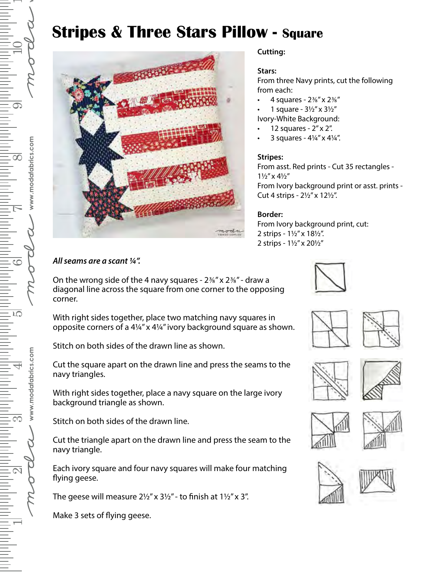# **Stripes & Three Stars Pillow - Square**



#### **Cutting:**

#### **Stars:**

From three Navy prints, cut the following from each:

- 4 squares 2⅜" x 2⅜"
- 1 square  $3\frac{1}{2}$ " x  $3\frac{1}{2}$ "
- Ivory-White Background:
- 12 squares 2" x 2".
- 3 squares 4¼" x 4¼".

#### **Stripes:**

From asst. Red prints - Cut 35 rectangles - 1½" x 4½" From Ivory background print or asst. prints - Cut 4 strips - 2½" x 12½".

### **Border:**

From Ivory background print, cut: 2 strips - 1½" x 18½". 2 strips - 1½" x 20½"

## *All seams are a scant ¼".*

On the wrong side of the 4 navy squares -  $2\frac{3}{8}$ " x  $2\frac{3}{8}$ " - draw a diagonal line across the square from one corner to the opposing corner.

With right sides together, place two matching navy squares in opposite corners of a 4¼" x 4¼" ivory background square as shown.

Stitch on both sides of the drawn line as shown.

Cut the square apart on the drawn line and press the seams to the navy triangles.

With right sides together, place a navy square on the large ivory background triangle as shown.

Stitch on both sides of the drawn line.

Cut the triangle apart on the drawn line and press the seam to the navy triangle.

Each ivory square and four navy squares will make four matching flying geese.

The geese will measure  $2\frac{1}{2}$ " x  $3\frac{1}{2}$ " - to finish at  $1\frac{1}{2}$ " x 3".

Make 3 sets of flying geese.